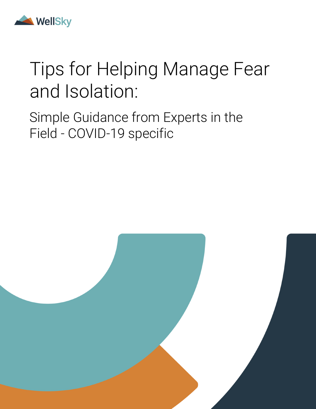

# Tips for Helping Manage Fear and Isolation:

Simple Guidance from Experts in the Field - COVID-19 specific

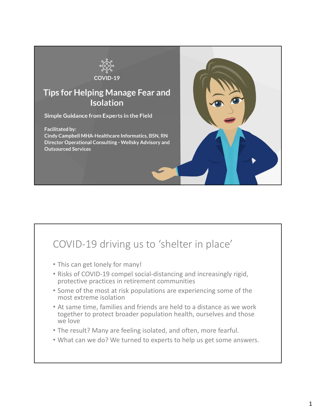

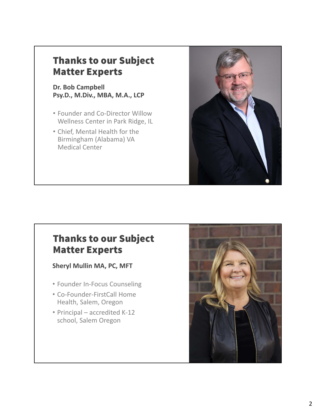#### Thanks to our Subject Matter Experts

#### **Dr. Bob Campbell Psy.D., M.Div., MBA, M.A., LCP**

- Founder and Co-Director Willow Wellness Center in Park Ridge, IL
- Chief, Mental Health for the Birmingham (Alabama) VA Medical Center



#### Thanks to our Subject Matter Experts

**Sheryl Mullin MA, PC, MFT**

- Founder In‐Focus Counseling
- Co‐Founder‐FirstCall Home Health, Salem, Oregon
- Principal accredited K-12 school, Salem Oregon

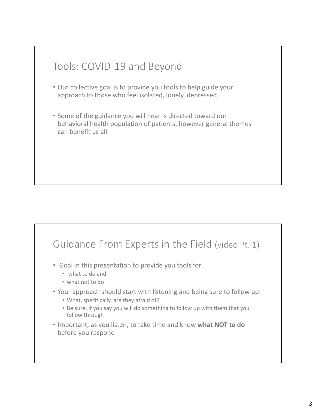

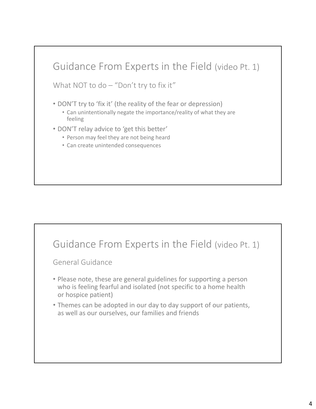

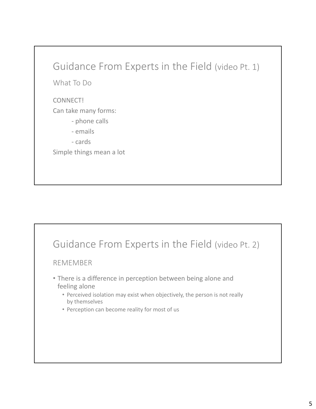#### Guidance From Experts in the Field (video Pt. 1)

What To Do

#### CONNECT!

Can take many forms:

- ‐ phone calls
- ‐ emails
- ‐ cards

Simple things mean a lot

#### Guidance From Experts in the Field (video Pt. 2)

#### REMEMBER

- There is a difference in perception between being alone and feeling alone
	- Perceived isolation may exist when objectively, the person is not really by themselves
	- Perception can become reality for most of us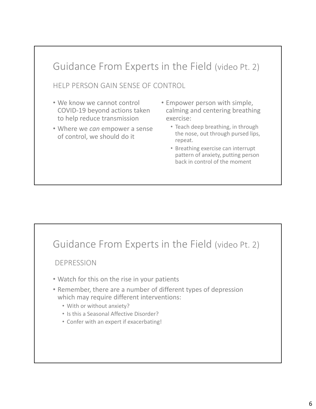## HELP PERSON GAIN SENSE OF CONTROL Guidance From Experts in the Field (video Pt. 2)

- We know we cannot control COVID‐19 beyond actions taken to help reduce transmission
- Where we *can* empower a sense of control, we should do it
- Empower person with simple, calming and centering breathing exercise:
	- Teach deep breathing, in through the nose, out through pursed lips, repeat.
	- Breathing exercise can interrupt pattern of anxiety, putting person back in control of the moment

### Guidance From Experts in the Field (video Pt. 2)

DEPRESSION

- Watch for this on the rise in your patients
- Remember, there are a number of different types of depression which may require different interventions:
	- With or without anxiety?
	- Is this a Seasonal Affective Disorder?
	- Confer with an expert if exacerbating!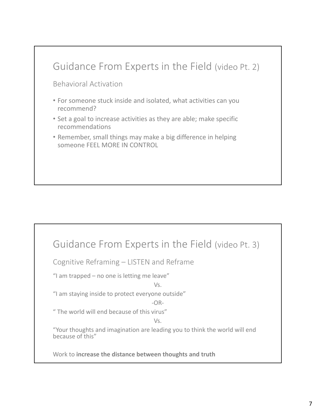

| Guidance From Experts in the Field (video Pt. 3)                                                      |
|-------------------------------------------------------------------------------------------------------|
| Cognitive Reframing - LISTEN and Reframe                                                              |
| "I am trapped - no one is letting me leave"<br>Vs.                                                    |
| "I am staying inside to protect everyone outside"<br>$-OR-$                                           |
| "The world will end because of this virus"                                                            |
| Vs.<br>"Your thoughts and imagination are leading you to think the world will end<br>because of this" |
| Work to increase the distance between thoughts and truth                                              |
|                                                                                                       |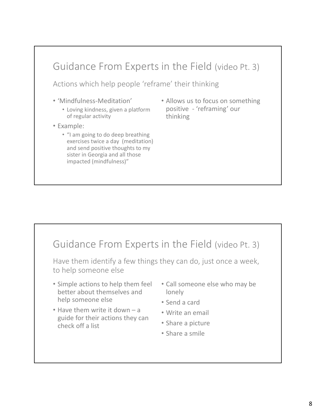

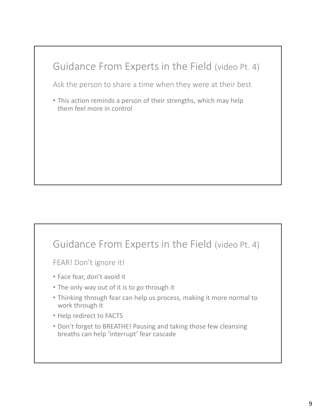# Ask the person to share a time when they were at their best Guidance From Experts in the Field (video Pt. 4)

• This action reminds a person of their strengths, which may help them feel more in control

### Guidance From Experts in the Field (video Pt. 4)

FEAR! Don't ignore it!

- Face fear, don't avoid it
- The only way out of it is to go through it
- Thinking through fear can help us process, making it more normal to work through it
- Help redirect to FACTS
- Don't forget to BREATHE! Pausing and taking those few cleansing breaths can help 'interrupt' fear cascade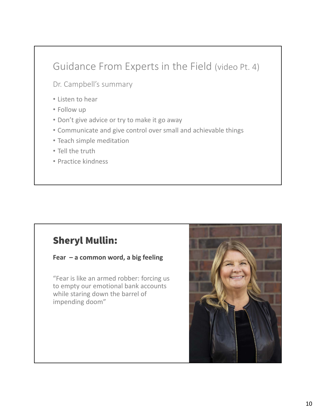### Guidance From Experts in the Field (video Pt. 4)

Dr. Campbell's summary

- Listen to hear
- Follow up
- Don't give advice or try to make it go away
- Communicate and give control over small and achievable things
- Teach simple meditation
- Tell the truth
- Practice kindness

#### Sheryl Mullin:

**Fear – a common word, a big feeling**

"Fear is like an armed robber: forcing us to empty our emotional bank accounts while staring down the barrel of impending doom"

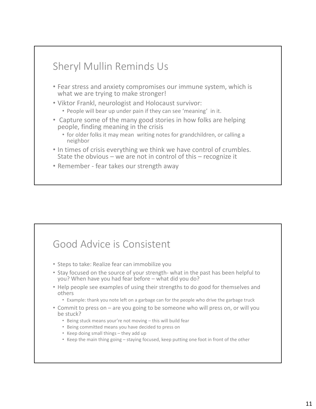

### Good Advice is Consistent

- Steps to take: Realize fear can immobilize you
- Stay focused on the source of your strength‐ what in the past has been helpful to you? When have you had fear before – what did you do?
- Help people see examples of using their strengths to do good for themselves and others
	- Example: thank you note left on a garbage can for the people who drive the garbage truck
- Commit to press on are you going to be someone who will press on, or will you be stuck?
	- Being stuck means your're not moving this will build fear
	- Being committed means you have decided to press on
	- Keep doing small things they add up
	- Keep the main thing going staying focused, keep putting one foot in front of the other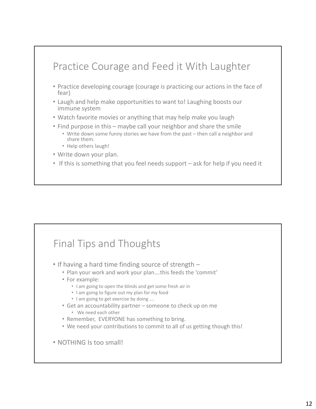## Practice Courage and Feed it With Laughter

- Practice developing courage (courage is practicing our actions in the face of fear)
- Laugh and help make opportunities to want to! Laughing boosts our immune system
- Watch favorite movies or anything that may help make you laugh
- Find purpose in this maybe call your neighbor and share the smile
	- Write down some funny stories we have from the past then call a neighbor and share them.
	- Help others laugh!
- Write down your plan.
- If this is something that you feel needs support ask for help if you need it

### Final Tips and Thoughts

- If having a hard time finding source of strength
	- Plan your work and work your plan….this feeds the 'commit'
	- For example:
		- I am going to open the blinds and get some fresh air in
		- I am going to figure out my plan for my food
		- I am going to get exercise by doing ….
	- Get an accountability partner someone to check up on me
		- We need each other
	- Remember, EVERYONE has something to bring.
	- We need your contributions to commit to all of us getting though this!
- NOTHING Is too small!